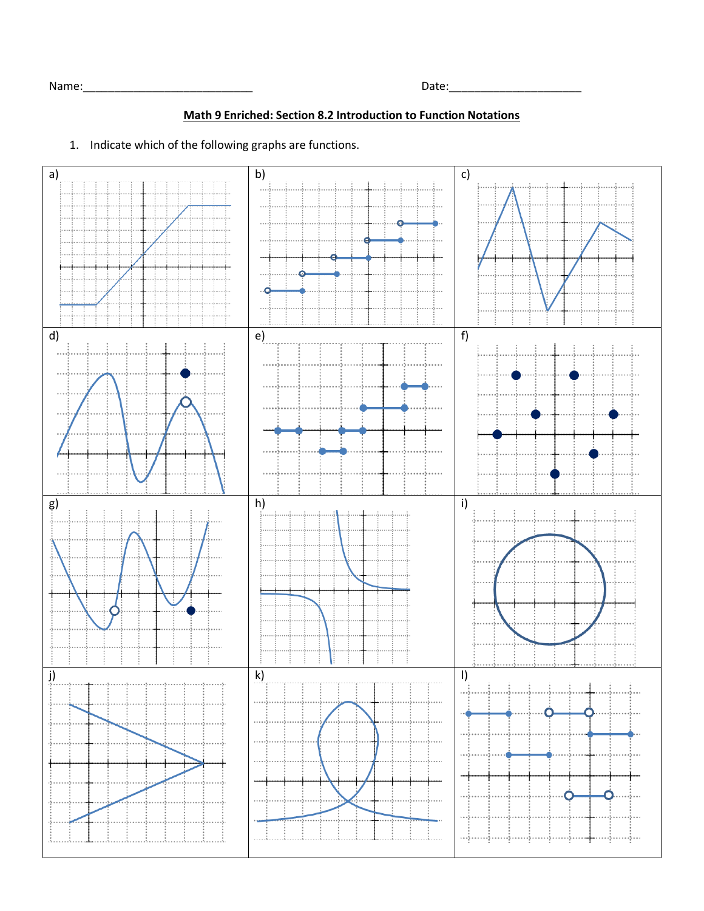## **Math 9 Enriched: Section 8.2 Introduction to Function Notations**

1. Indicate which of the following graphs are functions.

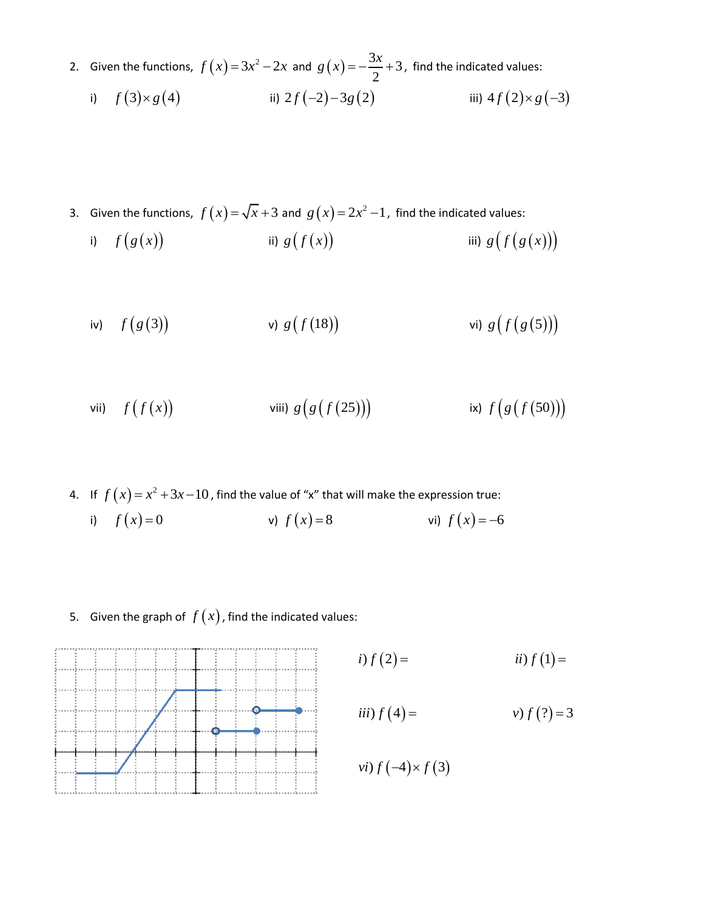2. Given the functions,  $f(x)=3x^2-2x$  and  $g(x)$  $\frac{3x}{2}+3$ 2  $g(x) = -\frac{3x}{2} + 3$ , find the indicated values:

i) 
$$
f(3) \times g(4)
$$
 ii)  $2f(-2)-3g(2)$  iii)  $4f(2) \times g(-3)$ 

3. Given the functions,  $f(x) = \sqrt{x} + 3$  and  $g(x) = 2x^2 - 1$ , find the indicated values:

i) 
$$
f(g(x))
$$
 ii)  $g(f(x))$  iii)  $g(f(g(x)))$ 

iv) 
$$
f(g(3))
$$
 v)  $g(f(18))$  vi)  $g(f(g(5)))$ 

vii) 
$$
f(f(x))
$$
 viii)  $g(g(f(25)))$ ix)  $f(g(f(50)))$ 

- 4. If  $f(x)=x^2+3x-10$ , find the value of "x" that will make the expression true: i)  $f(x) = 0$  v) *v*)  $f(x) = 8$ *vi*)  $f(x) = -6$
- 5. Given the graph of  $f(x)$  , find the indicated values:

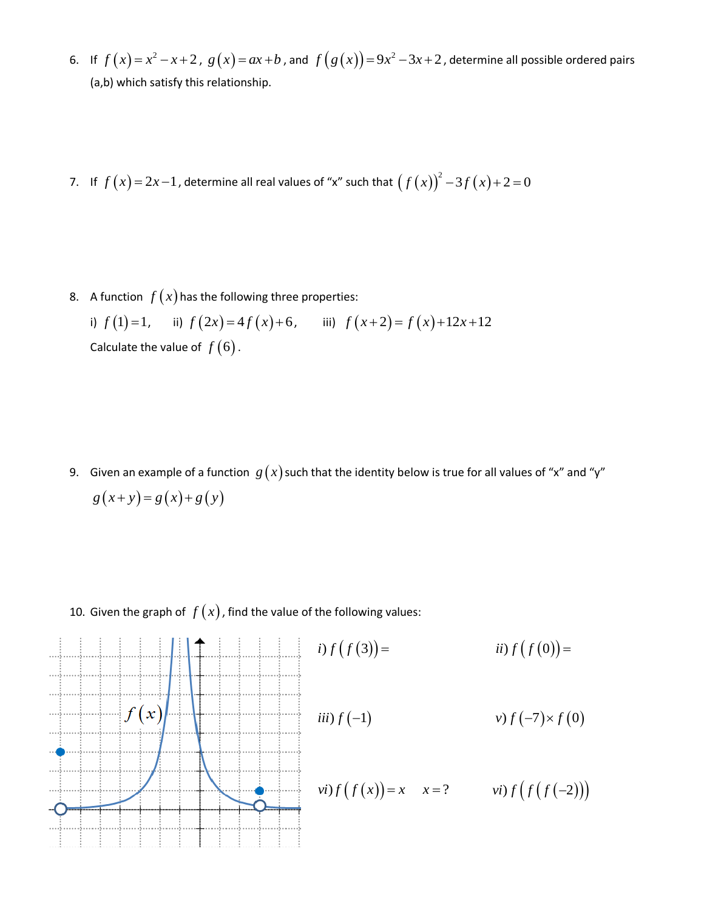- 6. If  $f(x)=x^2-x+2$ ,  $g(x)=ax+b$ , and  $f(g(x))=9x^2-3x+2$ , determine all possible ordered pairs (a,b) which satisfy this relationship.
- 7. If  $f(x)=2x-1$ , determine all real values of "x" such that  $(f(x))^{2}-3f(x)+2=0$

8. A function  $f(x)$  has the following three properties:

i)  $f(1)=1$ , ii)  $f(2x)=4f(x)+6$ , iii)  $f(x+2)=f(x)+12x+12$ Calculate the value of  $f(6)$ .

9. Given an example of a function  $|g\left(x\right)$  such that the identity below is true for all values of "x" and "y"  $g(x+y) = g(x)+g(y)$ 

10. Given the graph of  $f(x)$ , find the value of the following values: